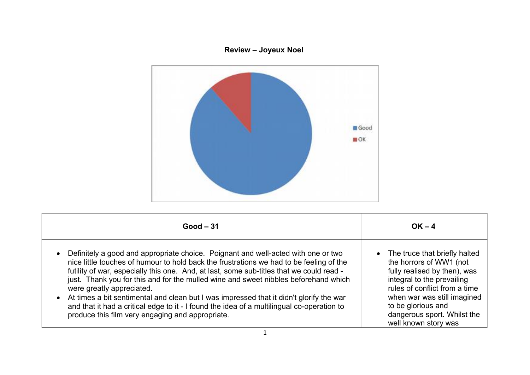## **Review – Joyeux Noel**



| $Good - 31$                                                                                                                                                                                                                                                                                                                                                                                                                                                                                                                                                                                                                                 | $OK - 4$                                                                                                                                                                                                                                                              |
|---------------------------------------------------------------------------------------------------------------------------------------------------------------------------------------------------------------------------------------------------------------------------------------------------------------------------------------------------------------------------------------------------------------------------------------------------------------------------------------------------------------------------------------------------------------------------------------------------------------------------------------------|-----------------------------------------------------------------------------------------------------------------------------------------------------------------------------------------------------------------------------------------------------------------------|
| Definitely a good and appropriate choice. Poignant and well-acted with one or two<br>nice little touches of humour to hold back the frustrations we had to be feeling of the<br>futility of war, especially this one. And, at last, some sub-titles that we could read -<br>just. Thank you for this and for the mulled wine and sweet nibbles beforehand which<br>were greatly appreciated.<br>• At times a bit sentimental and clean but I was impressed that it didn't glorify the war<br>and that it had a critical edge to it - I found the idea of a multilingual co-operation to<br>produce this film very engaging and appropriate. | • The truce that briefly halted<br>the horrors of WW1 (not<br>fully realised by then), was<br>integral to the prevailing<br>rules of conflict from a time<br>when war was still imagined<br>to be glorious and<br>dangerous sport. Whilst the<br>well known story was |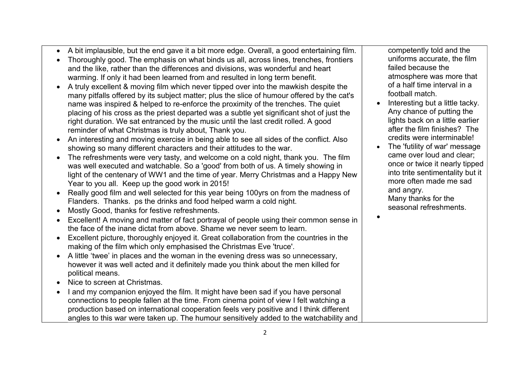- A bit implausible, but the end gave it a bit more edge. Overall, a good entertaining film.
- Thoroughly good. The emphasis on what binds us all, across lines, trenches, frontiers and the like, rather than the differences and divisions, was wonderful and heart warming. If only it had been learned from and resulted in long term benefit.
- A truly excellent & moving film which never tipped over into the mawkish despite the many pitfalls offered by its subject matter; plus the slice of humour offered by the cat's name was inspired & helped to re-enforce the proximity of the trenches. The quiet placing of his cross as the priest departed was a subtle yet significant shot of just the right duration. We sat entranced by the music until the last credit rolled. A good reminder of what Christmas is truly about, Thank you.
- An interesting and moving exercise in being able to see all sides of the conflict. Also showing so many different characters and their attitudes to the war.
- The refreshments were very tasty, and welcome on a cold night, thank you. The film was well executed and watchable. So a 'good' from both of us. A timely showing in light of the centenary of WW1 and the time of year. Merry Christmas and a Happy New Year to you all. Keep up the good work in 2015!
- Really good film and well selected for this year being 100yrs on from the madness of Flanders. Thanks. ps the drinks and food helped warm a cold night.
- Mostly Good, thanks for festive refreshments.
- Excellent! A moving and matter of fact portrayal of people using their common sense in the face of the inane dictat from above. Shame we never seem to learn.
- Excellent picture, thoroughly enjoyed it. Great collaboration from the countries in the making of the film which only emphasised the Christmas Eve 'truce'.
- A little 'twee' in places and the woman in the evening dress was so unnecessary, however it was well acted and it definitely made you think about the men killed for political means.
- Nice to screen at Christmas.
- I and my companion enjoyed the film. It might have been sad if you have personal connections to people fallen at the time. From cinema point of view I felt watching a production based on international cooperation feels very positive and I think different angles to this war were taken up. The humour sensitively added to the watchability and

competently told and the uniforms accurate, the film failed because the atmosphere was more that of a half time interval in a football match.

- Interesting but a little tacky. Any chance of putting the lights back on a little earlier after the film finishes? The credits were interminable!
- The 'futility of war' message came over loud and clear; once or twice it nearly tipped into trite sentimentality but it more often made me sad and angry. Many thanks for the seasonal refreshments.
- $\bullet$